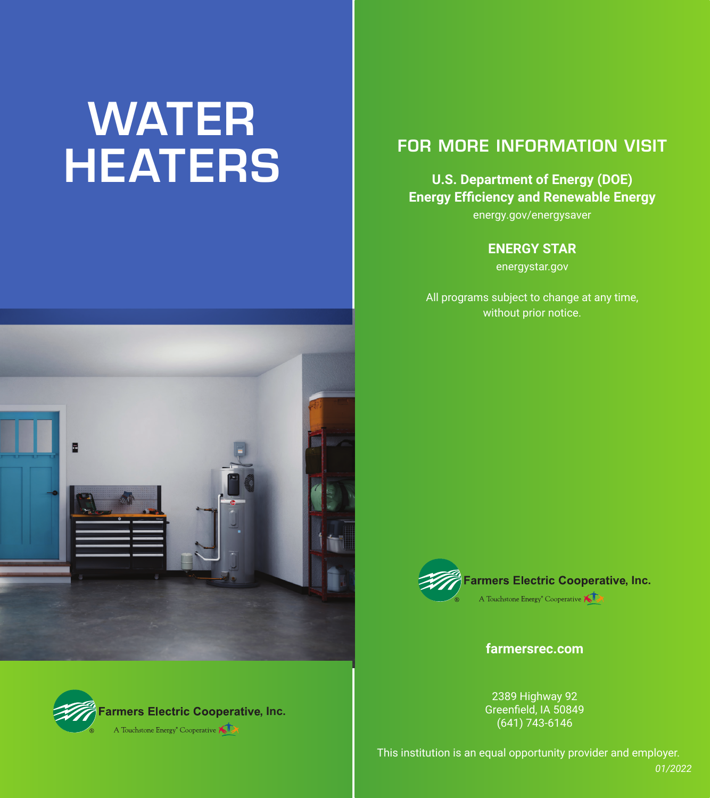# WATER **HEATERS**

# FOR MORE INFORMATION VISIT

#### **U.S. Department of Energy (DOE) Energy Efficiency and Renewable Energy**

energy.gov/energysaver

#### **ENERGY STAR**

energystar.gov

All programs subject to change at any time, without prior notice.





**Farmers Electric Cooperative, Inc.** A Touchstone Energy<sup>®</sup> Cooperative

**farmersrec.com**

2389 Highway 92 Greenfield, IA 50849 (641) 743-6146

This institution is an equal opportunity provider and employer.